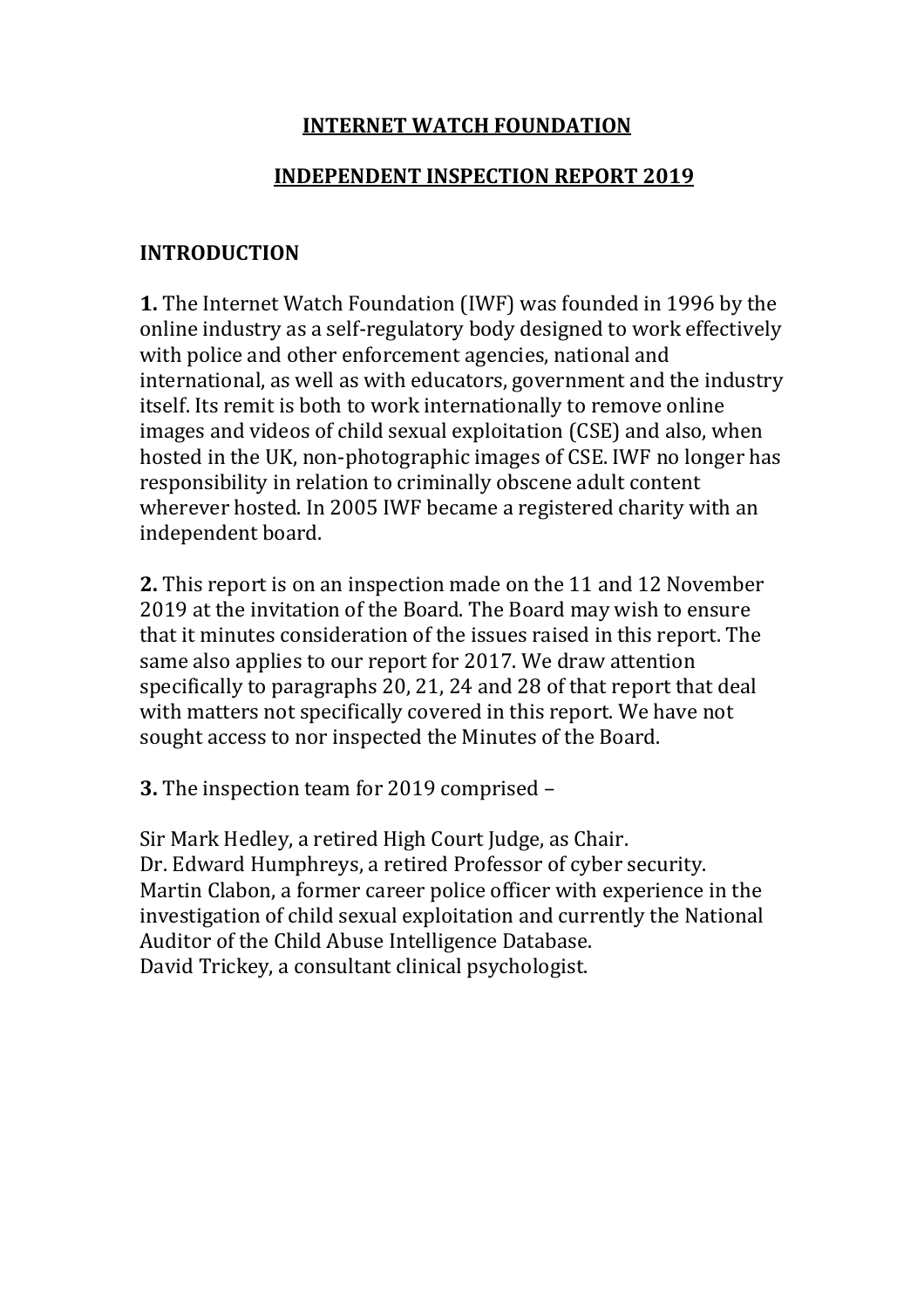### **INTERNET WATCH FOUNDATION**

### **INDEPENDENT INSPECTION REPORT 2019**

### **INTRODUCTION**

**1.** The Internet Watch Foundation (IWF) was founded in 1996 by the online industry as a self-regulatory body designed to work effectively with police and other enforcement agencies, national and international, as well as with educators, government and the industry itself. Its remit is both to work internationally to remove online images and videos of child sexual exploitation (CSE) and also, when hosted in the UK, non-photographic images of CSE. IWF no longer has responsibility in relation to criminally obscene adult content wherever hosted. In 2005 IWF became a registered charity with an independent board.

**2.** This report is on an inspection made on the 11 and 12 November 2019 at the invitation of the Board. The Board may wish to ensure that it minutes consideration of the issues raised in this report. The same also applies to our report for 2017. We draw attention specifically to paragraphs 20, 21, 24 and 28 of that report that deal with matters not specifically covered in this report. We have not sought access to nor inspected the Minutes of the Board.

**3.** The inspection team for 2019 comprised –

Sir Mark Hedley, a retired High Court Judge, as Chair. Dr. Edward Humphreys, a retired Professor of cyber security. Martin Clabon, a former career police officer with experience in the investigation of child sexual exploitation and currently the National Auditor of the Child Abuse Intelligence Database. David Trickey, a consultant clinical psychologist.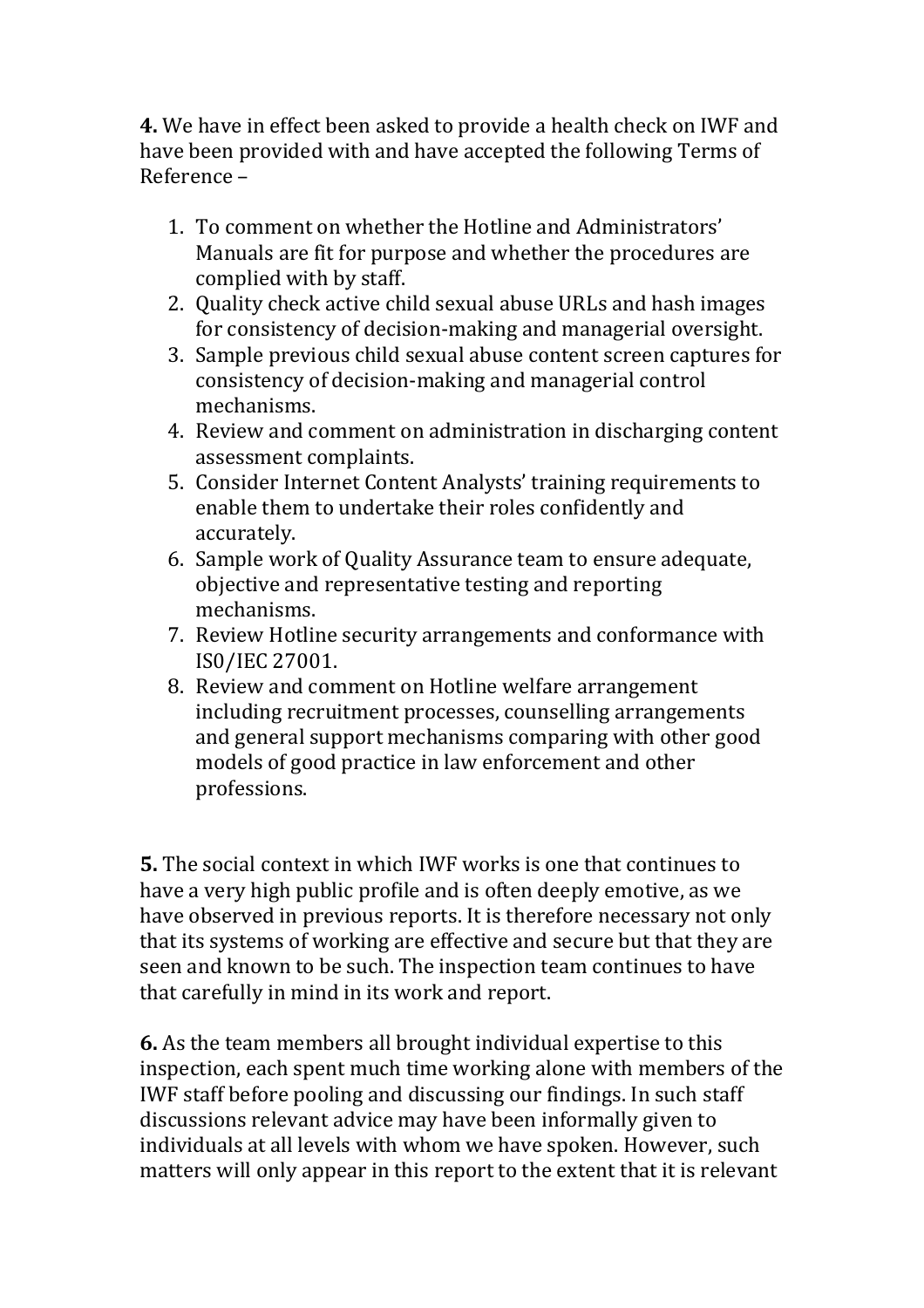**4.** We have in effect been asked to provide a health check on IWF and have been provided with and have accepted the following Terms of Reference –

- 1. To comment on whether the Hotline and Administrators' Manuals are fit for purpose and whether the procedures are complied with by staff.
- 2. Quality check active child sexual abuse URLs and hash images for consistency of decision-making and managerial oversight.
- 3. Sample previous child sexual abuse content screen captures for consistency of decision-making and managerial control mechanisms.
- 4. Review and comment on administration in discharging content assessment complaints.
- 5. Consider Internet Content Analysts' training requirements to enable them to undertake their roles confidently and accurately.
- 6. Sample work of Quality Assurance team to ensure adequate, objective and representative testing and reporting mechanisms.
- 7. Review Hotline security arrangements and conformance with IS0/IEC 27001.
- 8. Review and comment on Hotline welfare arrangement including recruitment processes, counselling arrangements and general support mechanisms comparing with other good models of good practice in law enforcement and other professions.

**5.** The social context in which IWF works is one that continues to have a very high public profile and is often deeply emotive, as we have observed in previous reports. It is therefore necessary not only that its systems of working are effective and secure but that they are seen and known to be such. The inspection team continues to have that carefully in mind in its work and report.

**6.** As the team members all brought individual expertise to this inspection, each spent much time working alone with members of the IWF staff before pooling and discussing our findings. In such staff discussions relevant advice may have been informally given to individuals at all levels with whom we have spoken. However, such matters will only appear in this report to the extent that it is relevant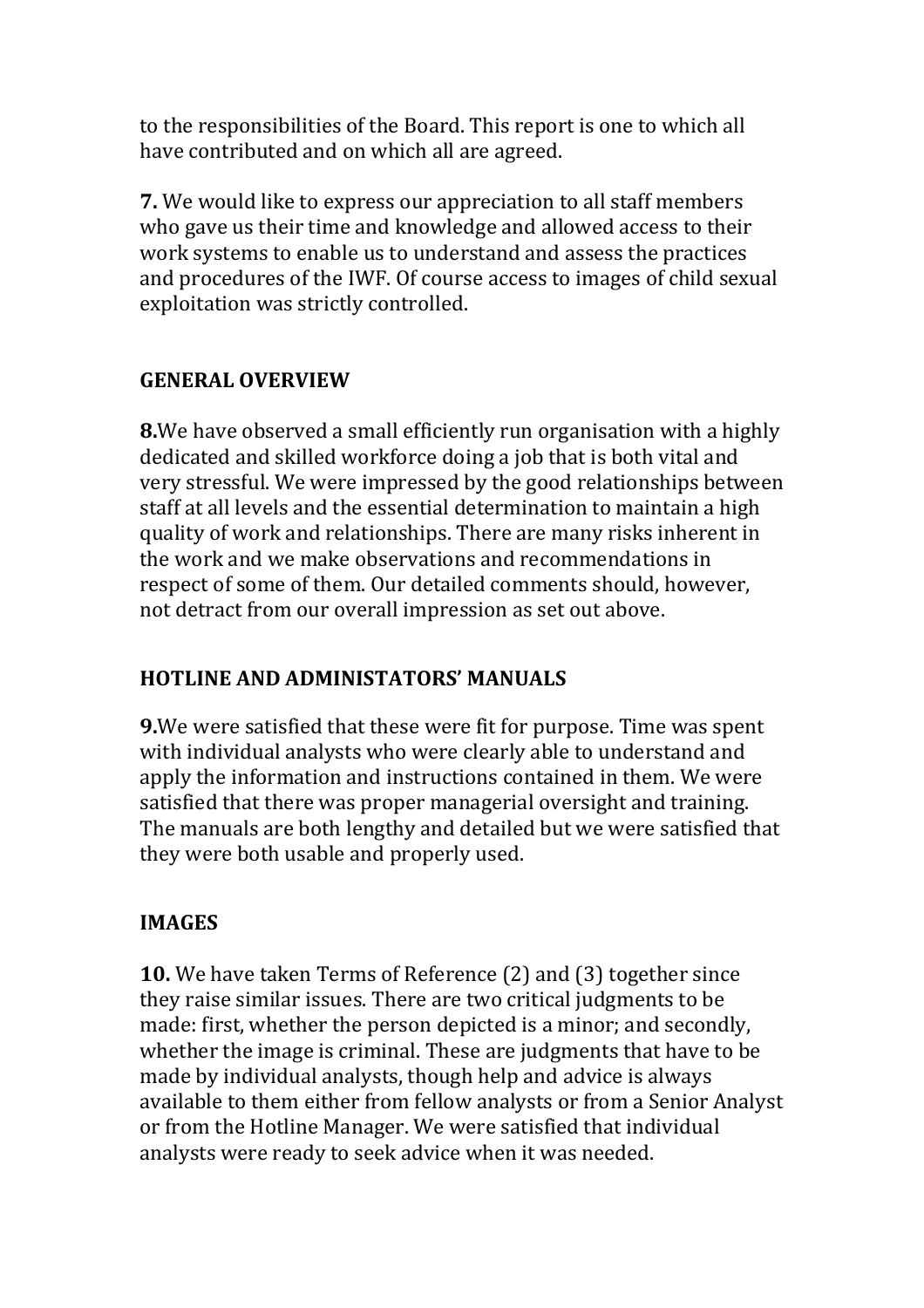to the responsibilities of the Board. This report is one to which all have contributed and on which all are agreed.

**7.** We would like to express our appreciation to all staff members who gave us their time and knowledge and allowed access to their work systems to enable us to understand and assess the practices and procedures of the IWF. Of course access to images of child sexual exploitation was strictly controlled.

## **GENERAL OVERVIEW**

**8.**We have observed a small efficiently run organisation with a highly dedicated and skilled workforce doing a job that is both vital and very stressful. We were impressed by the good relationships between staff at all levels and the essential determination to maintain a high quality of work and relationships. There are many risks inherent in the work and we make observations and recommendations in respect of some of them. Our detailed comments should, however, not detract from our overall impression as set out above.

## **HOTLINE AND ADMINISTATORS' MANUALS**

**9.**We were satisfied that these were fit for purpose. Time was spent with individual analysts who were clearly able to understand and apply the information and instructions contained in them. We were satisfied that there was proper managerial oversight and training. The manuals are both lengthy and detailed but we were satisfied that they were both usable and properly used.

## **IMAGES**

**10.** We have taken Terms of Reference (2) and (3) together since they raise similar issues. There are two critical judgments to be made: first, whether the person depicted is a minor; and secondly, whether the image is criminal. These are judgments that have to be made by individual analysts, though help and advice is always available to them either from fellow analysts or from a Senior Analyst or from the Hotline Manager. We were satisfied that individual analysts were ready to seek advice when it was needed.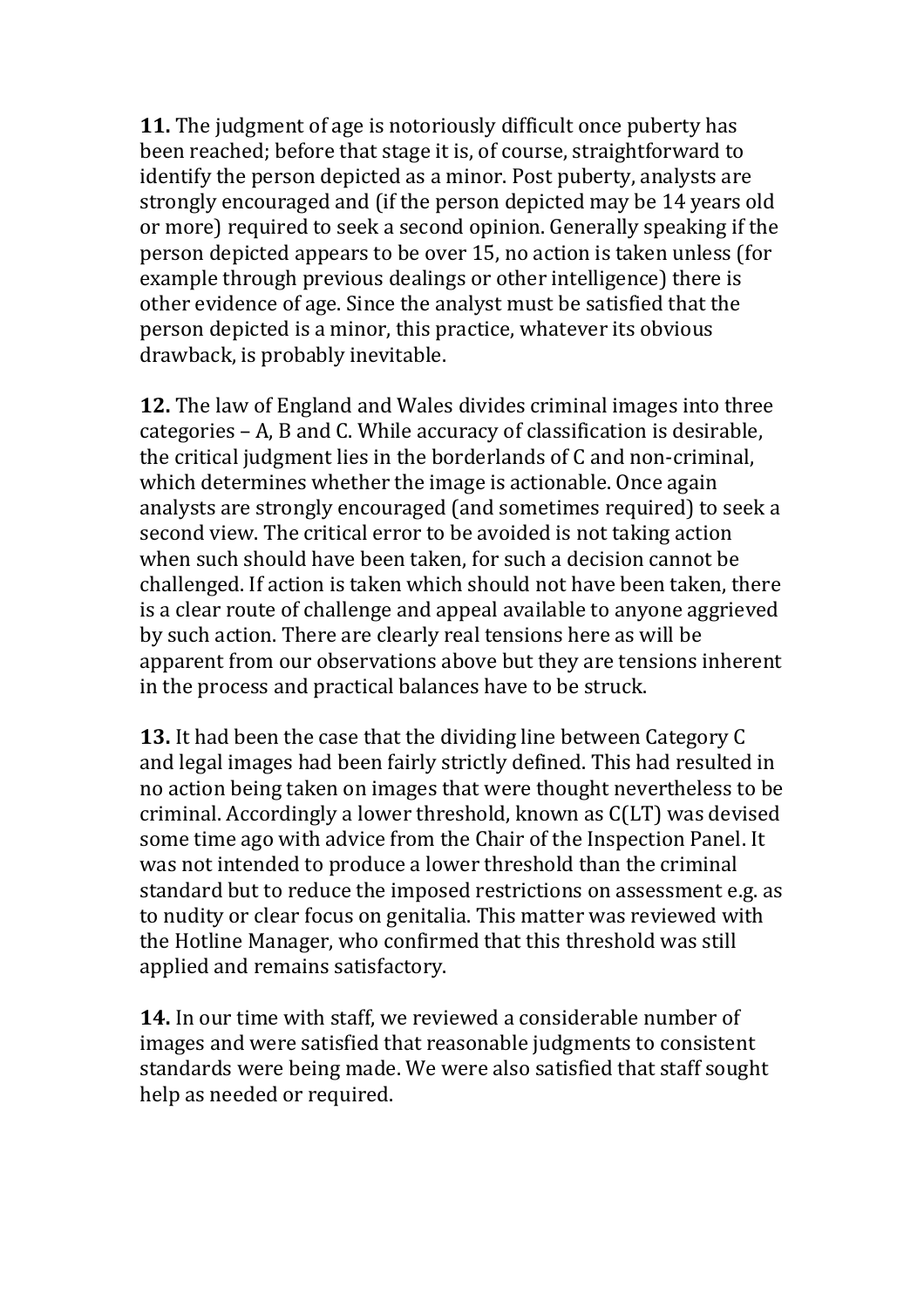**11.** The judgment of age is notoriously difficult once puberty has been reached; before that stage it is, of course, straightforward to identify the person depicted as a minor. Post puberty, analysts are strongly encouraged and (if the person depicted may be 14 years old or more) required to seek a second opinion. Generally speaking if the person depicted appears to be over 15, no action is taken unless (for example through previous dealings or other intelligence) there is other evidence of age. Since the analyst must be satisfied that the person depicted is a minor, this practice, whatever its obvious drawback, is probably inevitable.

**12.** The law of England and Wales divides criminal images into three categories – A, B and C. While accuracy of classification is desirable, the critical judgment lies in the borderlands of C and non-criminal, which determines whether the image is actionable. Once again analysts are strongly encouraged (and sometimes required) to seek a second view. The critical error to be avoided is not taking action when such should have been taken, for such a decision cannot be challenged. If action is taken which should not have been taken, there is a clear route of challenge and appeal available to anyone aggrieved by such action. There are clearly real tensions here as will be apparent from our observations above but they are tensions inherent in the process and practical balances have to be struck.

**13.** It had been the case that the dividing line between Category C and legal images had been fairly strictly defined. This had resulted in no action being taken on images that were thought nevertheless to be criminal. Accordingly a lower threshold, known as C(LT) was devised some time ago with advice from the Chair of the Inspection Panel. It was not intended to produce a lower threshold than the criminal standard but to reduce the imposed restrictions on assessment e.g. as to nudity or clear focus on genitalia. This matter was reviewed with the Hotline Manager, who confirmed that this threshold was still applied and remains satisfactory.

**14.** In our time with staff, we reviewed a considerable number of images and were satisfied that reasonable judgments to consistent standards were being made. We were also satisfied that staff sought help as needed or required.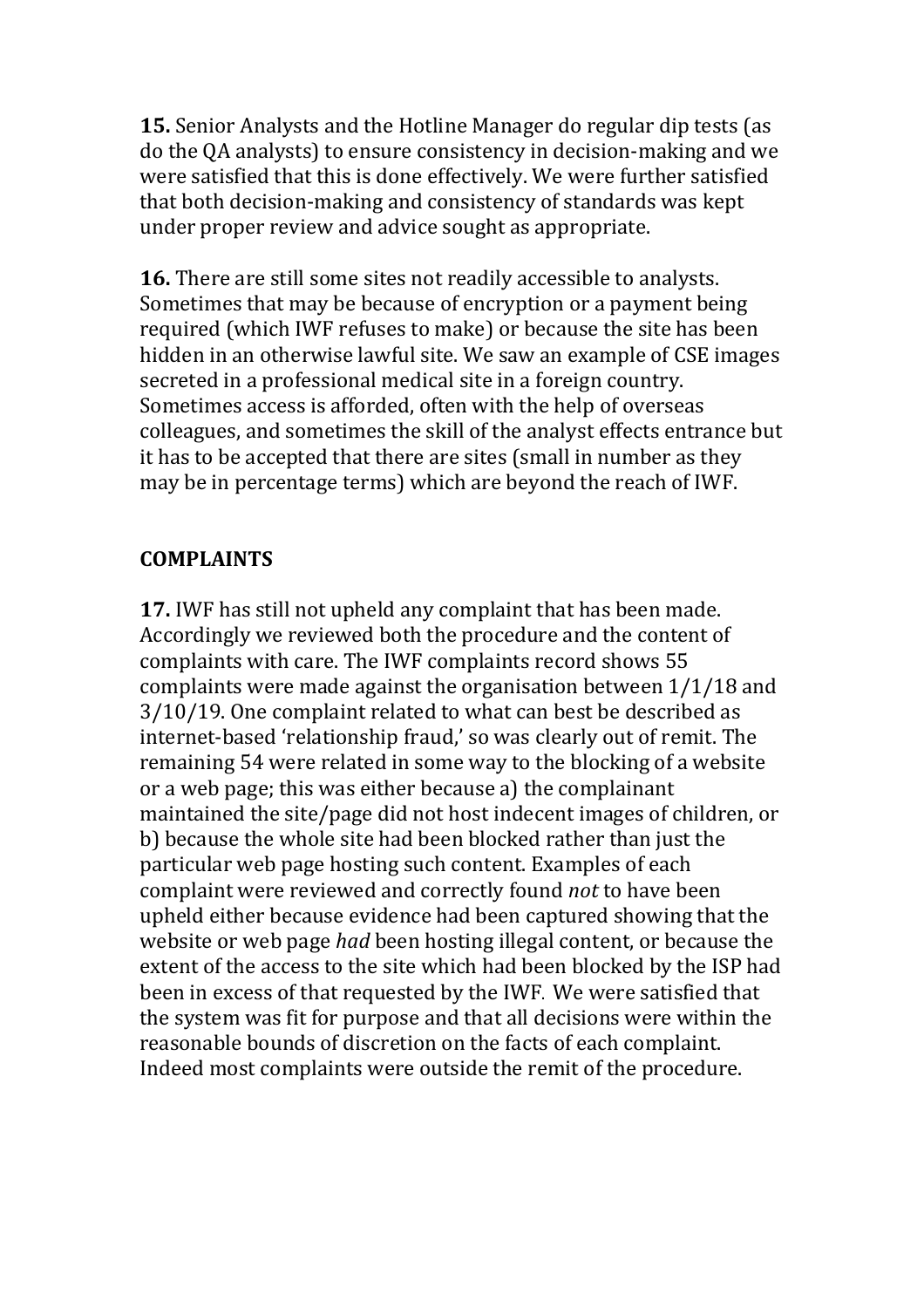**15.** Senior Analysts and the Hotline Manager do regular dip tests (as do the QA analysts) to ensure consistency in decision-making and we were satisfied that this is done effectively. We were further satisfied that both decision-making and consistency of standards was kept under proper review and advice sought as appropriate.

**16.** There are still some sites not readily accessible to analysts. Sometimes that may be because of encryption or a payment being required (which IWF refuses to make) or because the site has been hidden in an otherwise lawful site. We saw an example of CSE images secreted in a professional medical site in a foreign country. Sometimes access is afforded, often with the help of overseas colleagues, and sometimes the skill of the analyst effects entrance but it has to be accepted that there are sites (small in number as they may be in percentage terms) which are beyond the reach of IWF.

### **COMPLAINTS**

**17.** IWF has still not upheld any complaint that has been made. Accordingly we reviewed both the procedure and the content of complaints with care. The IWF complaints record shows 55 complaints were made against the organisation between 1/1/18 and 3/10/19. One complaint related to what can best be described as internet-based 'relationship fraud,' so was clearly out of remit. The remaining 54 were related in some way to the blocking of a website or a web page; this was either because a) the complainant maintained the site/page did not host indecent images of children, or b) because the whole site had been blocked rather than just the particular web page hosting such content. Examples of each complaint were reviewed and correctly found *not* to have been upheld either because evidence had been captured showing that the website or web page *had* been hosting illegal content, or because the extent of the access to the site which had been blocked by the ISP had been in excess of that requested by the IWF. We were satisfied that the system was fit for purpose and that all decisions were within the reasonable bounds of discretion on the facts of each complaint. Indeed most complaints were outside the remit of the procedure.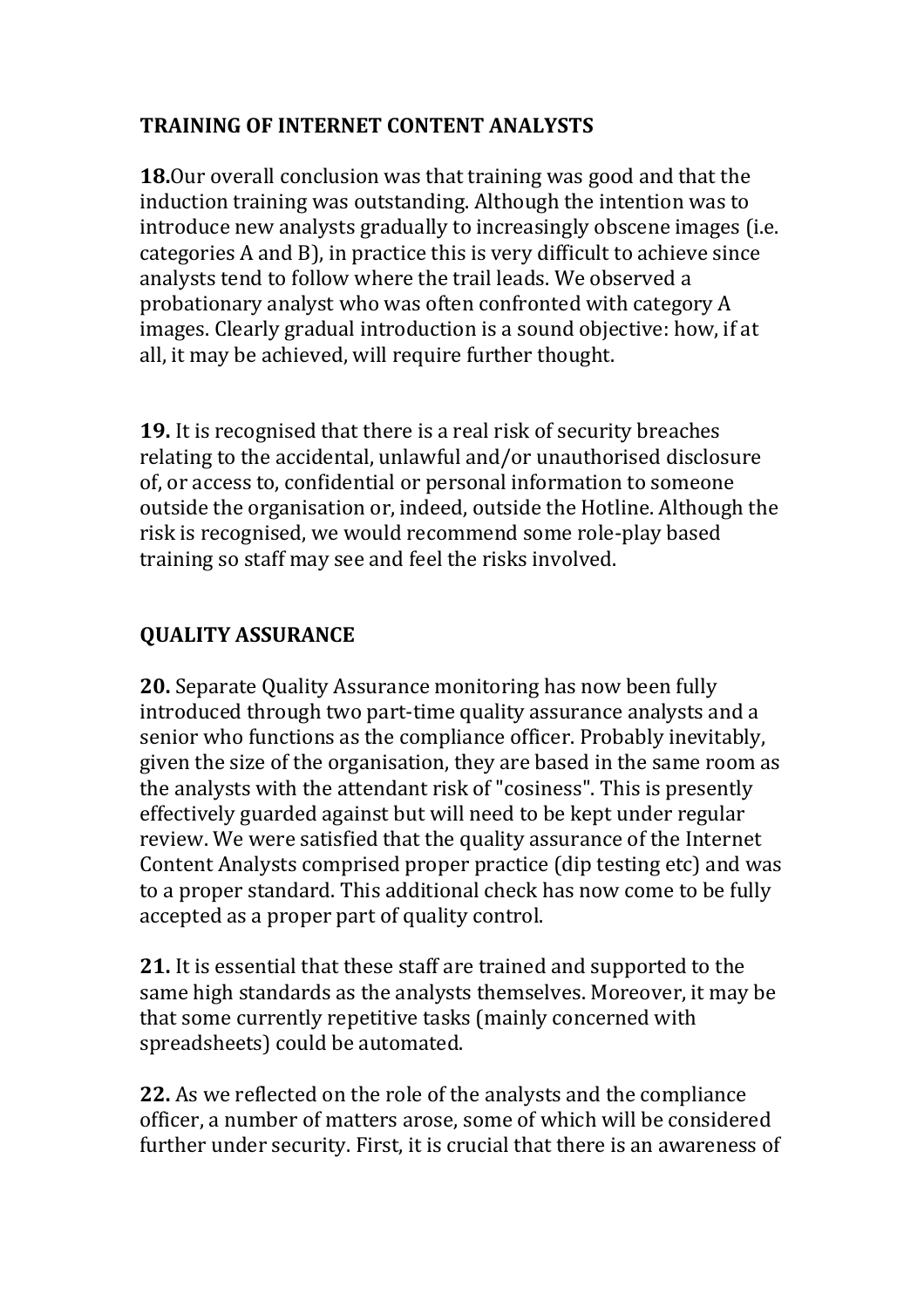## **TRAINING OF INTERNET CONTENT ANALYSTS**

**18.**Our overall conclusion was that training was good and that the induction training was outstanding. Although the intention was to introduce new analysts gradually to increasingly obscene images (i.e. categories A and B), in practice this is very difficult to achieve since analysts tend to follow where the trail leads. We observed a probationary analyst who was often confronted with category A images. Clearly gradual introduction is a sound objective: how, if at all, it may be achieved, will require further thought.

**19.** It is recognised that there is a real risk of security breaches relating to the accidental, unlawful and/or unauthorised disclosure of, or access to, confidential or personal information to someone outside the organisation or, indeed, outside the Hotline. Although the risk is recognised, we would recommend some role-play based training so staff may see and feel the risks involved.

# **QUALITY ASSURANCE**

**20.** Separate Quality Assurance monitoring has now been fully introduced through two part-time quality assurance analysts and a senior who functions as the compliance officer. Probably inevitably, given the size of the organisation, they are based in the same room as the analysts with the attendant risk of "cosiness". This is presently effectively guarded against but will need to be kept under regular review. We were satisfied that the quality assurance of the Internet Content Analysts comprised proper practice (dip testing etc) and was to a proper standard. This additional check has now come to be fully accepted as a proper part of quality control.

**21.** It is essential that these staff are trained and supported to the same high standards as the analysts themselves. Moreover, it may be that some currently repetitive tasks (mainly concerned with spreadsheets) could be automated.

**22.** As we reflected on the role of the analysts and the compliance officer, a number of matters arose, some of which will be considered further under security. First, it is crucial that there is an awareness of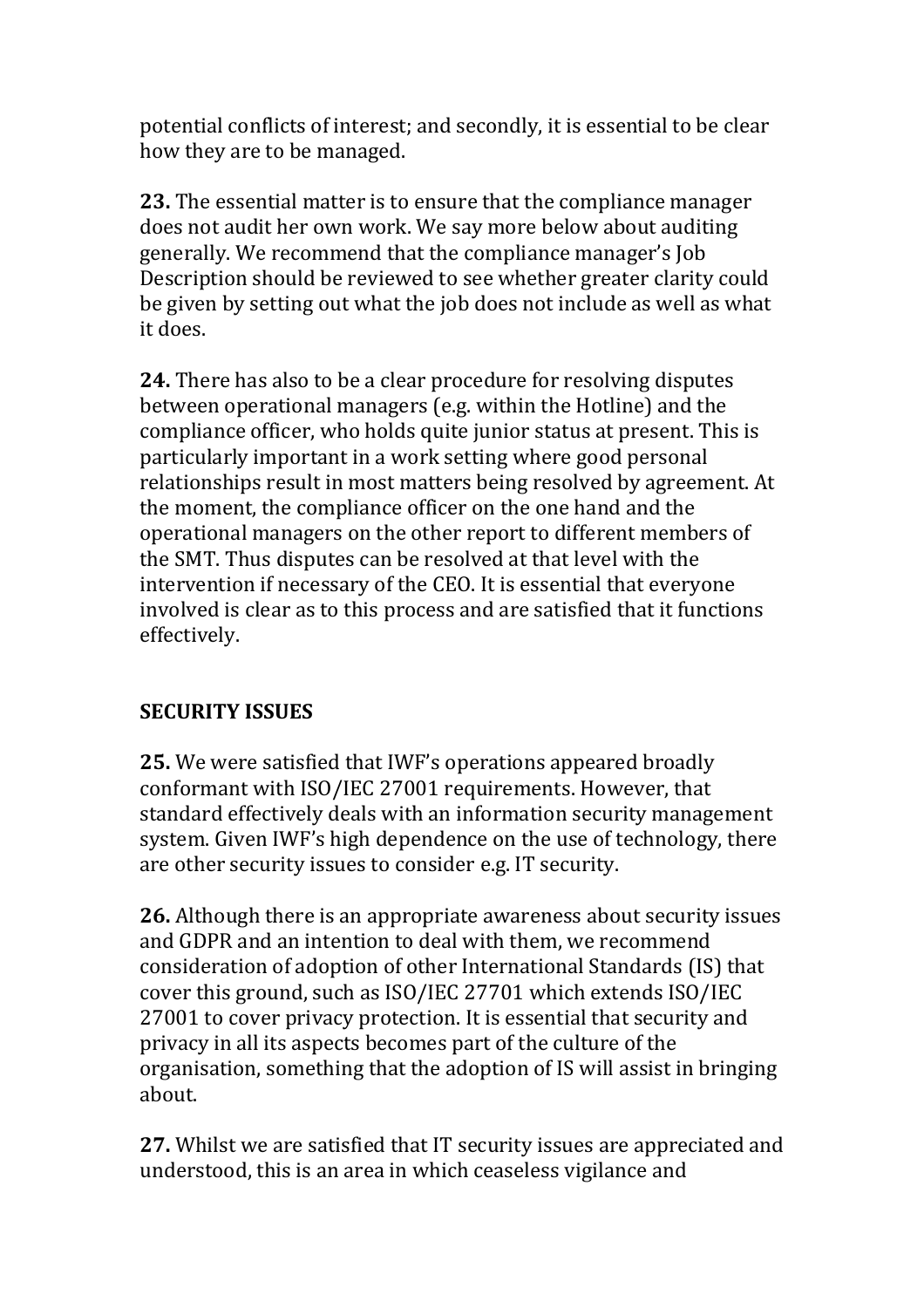potential conflicts of interest; and secondly, it is essential to be clear how they are to be managed.

**23.** The essential matter is to ensure that the compliance manager does not audit her own work. We say more below about auditing generally. We recommend that the compliance manager's Job Description should be reviewed to see whether greater clarity could be given by setting out what the job does not include as well as what it does.

**24.** There has also to be a clear procedure for resolving disputes between operational managers (e.g. within the Hotline) and the compliance officer, who holds quite junior status at present. This is particularly important in a work setting where good personal relationships result in most matters being resolved by agreement. At the moment, the compliance officer on the one hand and the operational managers on the other report to different members of the SMT. Thus disputes can be resolved at that level with the intervention if necessary of the CEO. It is essential that everyone involved is clear as to this process and are satisfied that it functions effectively.

## **SECURITY ISSUES**

**25.** We were satisfied that IWF's operations appeared broadly conformant with ISO/IEC 27001 requirements. However, that standard effectively deals with an information security management system. Given IWF's high dependence on the use of technology, there are other security issues to consider e.g. IT security.

**26.** Although there is an appropriate awareness about security issues and GDPR and an intention to deal with them, we recommend consideration of adoption of other International Standards (IS) that cover this ground, such as ISO/IEC 27701 which extends ISO/IEC 27001 to cover privacy protection. It is essential that security and privacy in all its aspects becomes part of the culture of the organisation, something that the adoption of IS will assist in bringing about.

**27.** Whilst we are satisfied that IT security issues are appreciated and understood, this is an area in which ceaseless vigilance and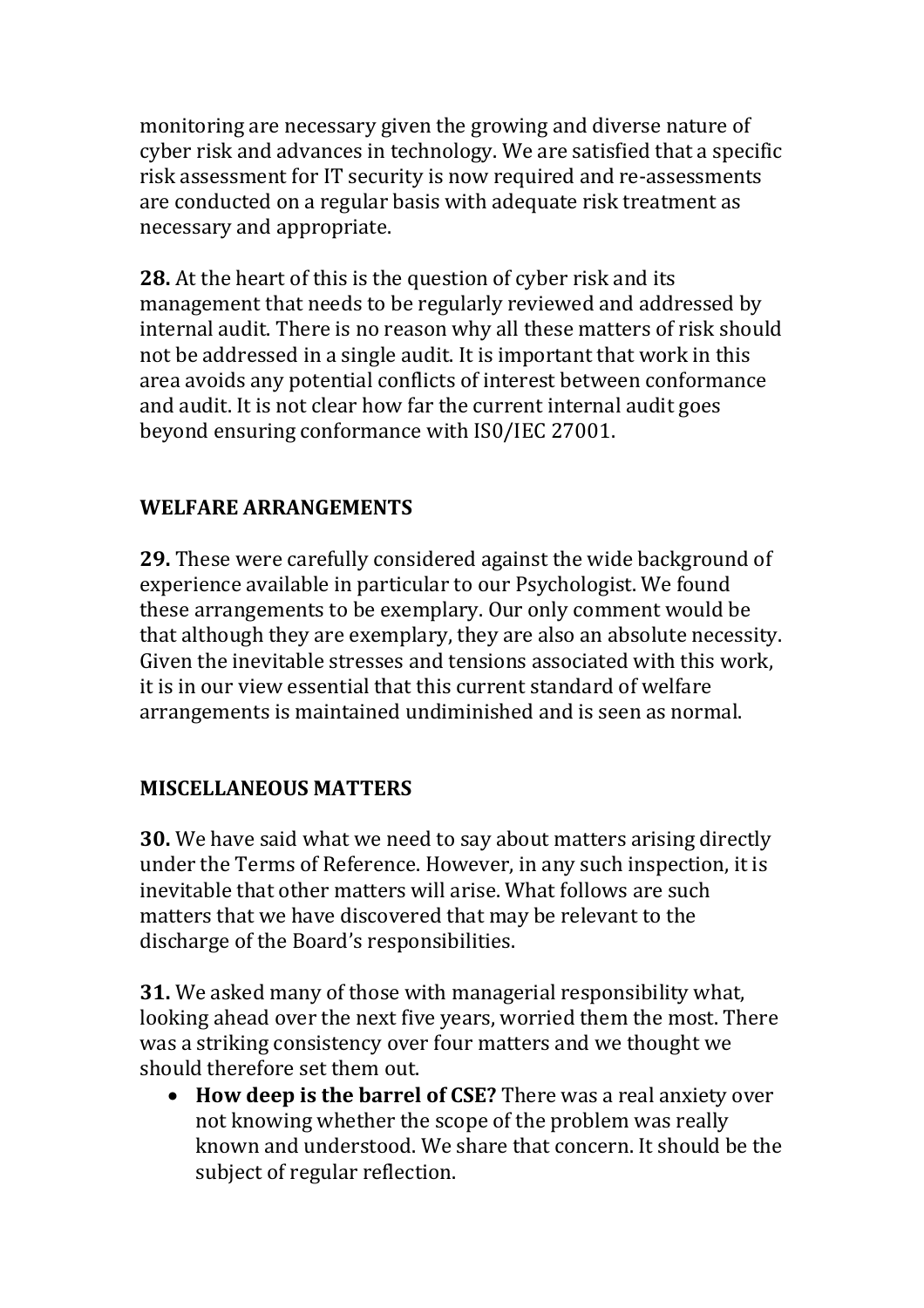monitoring are necessary given the growing and diverse nature of cyber risk and advances in technology. We are satisfied that a specific risk assessment for IT security is now required and re-assessments are conducted on a regular basis with adequate risk treatment as necessary and appropriate.

**28.** At the heart of this is the question of cyber risk and its management that needs to be regularly reviewed and addressed by internal audit. There is no reason why all these matters of risk should not be addressed in a single audit. It is important that work in this area avoids any potential conflicts of interest between conformance and audit. It is not clear how far the current internal audit goes beyond ensuring conformance with IS0/IEC 27001.

## **WELFARE ARRANGEMENTS**

**29.** These were carefully considered against the wide background of experience available in particular to our Psychologist. We found these arrangements to be exemplary. Our only comment would be that although they are exemplary, they are also an absolute necessity. Given the inevitable stresses and tensions associated with this work, it is in our view essential that this current standard of welfare arrangements is maintained undiminished and is seen as normal.

### **MISCELLANEOUS MATTERS**

**30.** We have said what we need to say about matters arising directly under the Terms of Reference. However, in any such inspection, it is inevitable that other matters will arise. What follows are such matters that we have discovered that may be relevant to the discharge of the Board's responsibilities.

**31.** We asked many of those with managerial responsibility what, looking ahead over the next five years, worried them the most. There was a striking consistency over four matters and we thought we should therefore set them out.

• **How deep is the barrel of CSE?** There was a real anxiety over not knowing whether the scope of the problem was really known and understood. We share that concern. It should be the subject of regular reflection.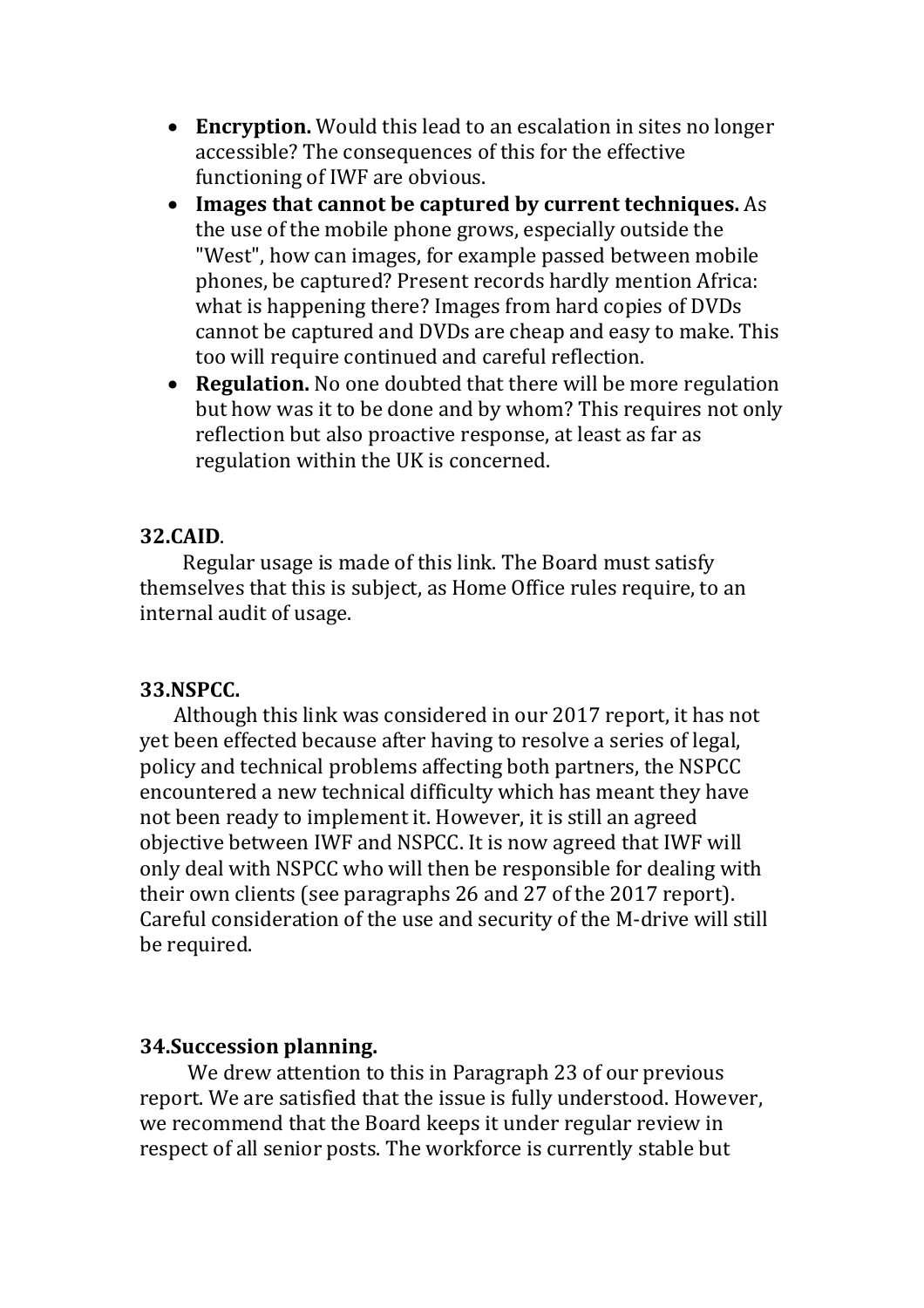- **Encryption.** Would this lead to an escalation in sites no longer accessible? The consequences of this for the effective functioning of IWF are obvious.
- **Images that cannot be captured by current techniques.** As the use of the mobile phone grows, especially outside the "West", how can images, for example passed between mobile phones, be captured? Present records hardly mention Africa: what is happening there? Images from hard copies of DVDs cannot be captured and DVDs are cheap and easy to make. This too will require continued and careful reflection.
- **Regulation.** No one doubted that there will be more regulation but how was it to be done and by whom? This requires not only reflection but also proactive response, at least as far as regulation within the UK is concerned.

#### **32.CAID**.

 Regular usage is made of this link. The Board must satisfy themselves that this is subject, as Home Office rules require, to an internal audit of usage.

#### **33.NSPCC.**

 Although this link was considered in our 2017 report, it has not yet been effected because after having to resolve a series of legal, policy and technical problems affecting both partners, the NSPCC encountered a new technical difficulty which has meant they have not been ready to implement it. However, it is still an agreed objective between IWF and NSPCC. It is now agreed that IWF will only deal with NSPCC who will then be responsible for dealing with their own clients (see paragraphs 26 and 27 of the 2017 report). Careful consideration of the use and security of the M-drive will still be required.

### **34.Succession planning.**

 We drew attention to this in Paragraph 23 of our previous report. We are satisfied that the issue is fully understood. However, we recommend that the Board keeps it under regular review in respect of all senior posts. The workforce is currently stable but